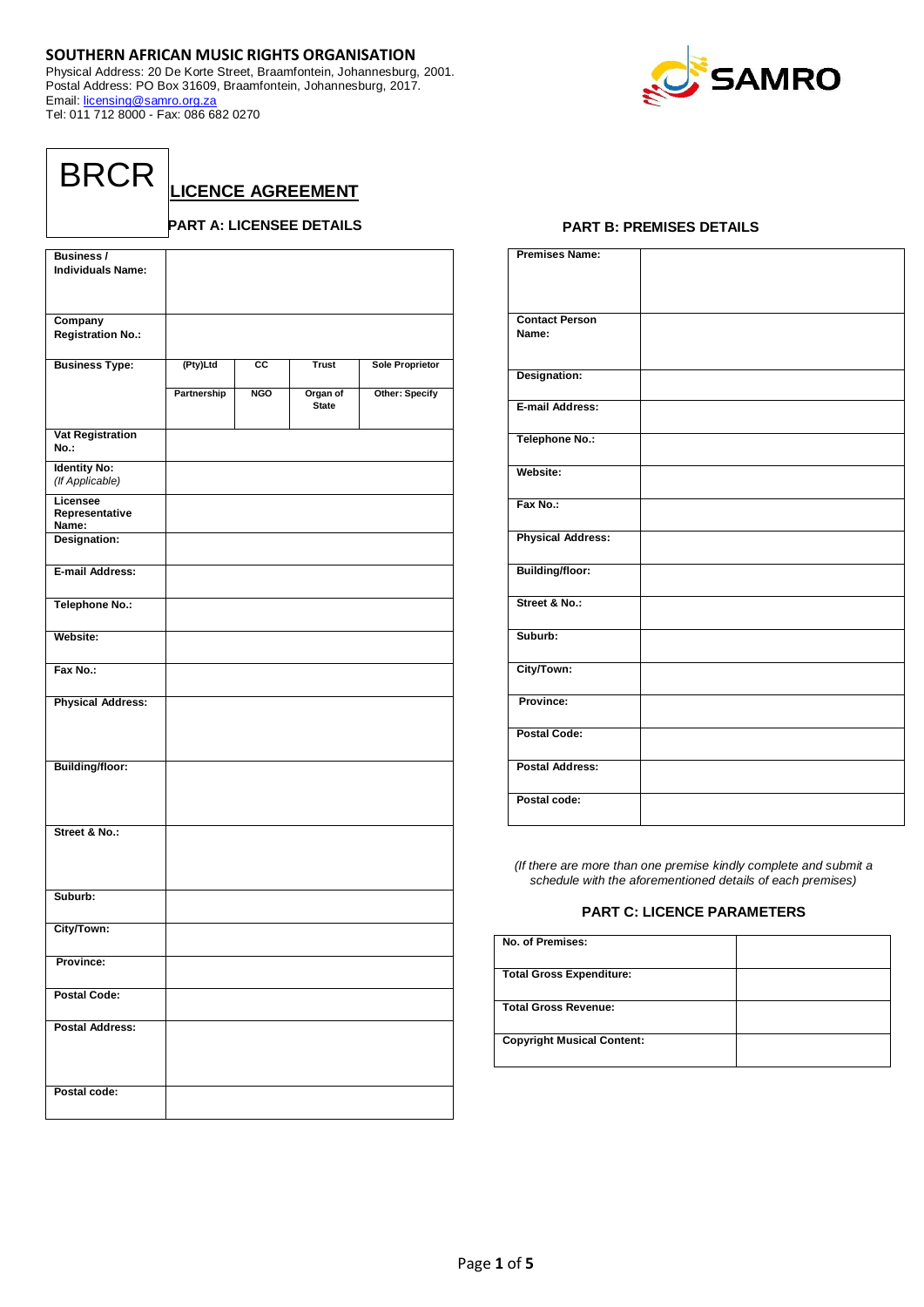## **SOUTHERN AFRICAN MUSIC RIGHTS ORGANISATION**

Physical Address: 20 De Korte Street, Braamfontein, Johannesburg, 2001. Postal Address: PO Box 31609, Braamfontein, Johannesburg, 2017. Email: [licensing@samro.org.za](mailto:licensing@samro.org.za) Tel: 011 712 8000 - Fax: 086 682 0270



**LICENCE AGREEMENT**

## **PART A: LICENSEE DETAILS**

| <b>Business/</b><br><b>Individuals Name:</b> |             |                        |                          |                        |
|----------------------------------------------|-------------|------------------------|--------------------------|------------------------|
| Company<br><b>Registration No.:</b>          |             |                        |                          |                        |
| <b>Business Type:</b>                        | (Pty)Ltd    | $\overline{\text{cc}}$ | <b>Trust</b>             | <b>Sole Proprietor</b> |
|                                              | Partnership | <b>NGO</b>             | Organ of<br><b>State</b> | Other: Specify         |
| <b>Vat Registration</b><br>No.:              |             |                        |                          |                        |
| <b>Identity No:</b><br>(If Applicable)       |             |                        |                          |                        |
| Licensee<br>Representative<br>Name:          |             |                        |                          |                        |
| Designation:                                 |             |                        |                          |                        |
| E-mail Address:                              |             |                        |                          |                        |
| <b>Telephone No.:</b>                        |             |                        |                          |                        |
| Website:                                     |             |                        |                          |                        |
| Fax No.:                                     |             |                        |                          |                        |
| <b>Physical Address:</b>                     |             |                        |                          |                        |
| <b>Building/floor:</b>                       |             |                        |                          |                        |
| Street & No.:                                |             |                        |                          |                        |
| Suburb:                                      |             |                        |                          |                        |
| City/Town:                                   |             |                        |                          |                        |
| Province:                                    |             |                        |                          |                        |
| <b>Postal Code:</b>                          |             |                        |                          |                        |
| <b>Postal Address:</b>                       |             |                        |                          |                        |
| Postal code:                                 |             |                        |                          |                        |

## **PART B: PREMISES DETAILS**

| <b>Premises Name:</b>          |  |
|--------------------------------|--|
|                                |  |
|                                |  |
| <b>Contact Person</b><br>Name: |  |
|                                |  |
| Designation:                   |  |
|                                |  |
| E-mail Address:                |  |
| <b>Telephone No.:</b>          |  |
| Website:                       |  |
| Fax No.:                       |  |
| <b>Physical Address:</b>       |  |
| <b>Building/floor:</b>         |  |
| Street & No.:                  |  |
| Suburb:                        |  |
| City/Town:                     |  |
| Province:                      |  |
| <b>Postal Code:</b>            |  |
| <b>Postal Address:</b>         |  |
| Postal code:                   |  |

*(If there are more than one premise kindly complete and submit a schedule with the aforementioned details of each premises)*

## **PART C: LICENCE PARAMETERS**

| No. of Premises:                  |  |
|-----------------------------------|--|
| <b>Total Gross Expenditure:</b>   |  |
| <b>Total Gross Revenue:</b>       |  |
| <b>Copyright Musical Content:</b> |  |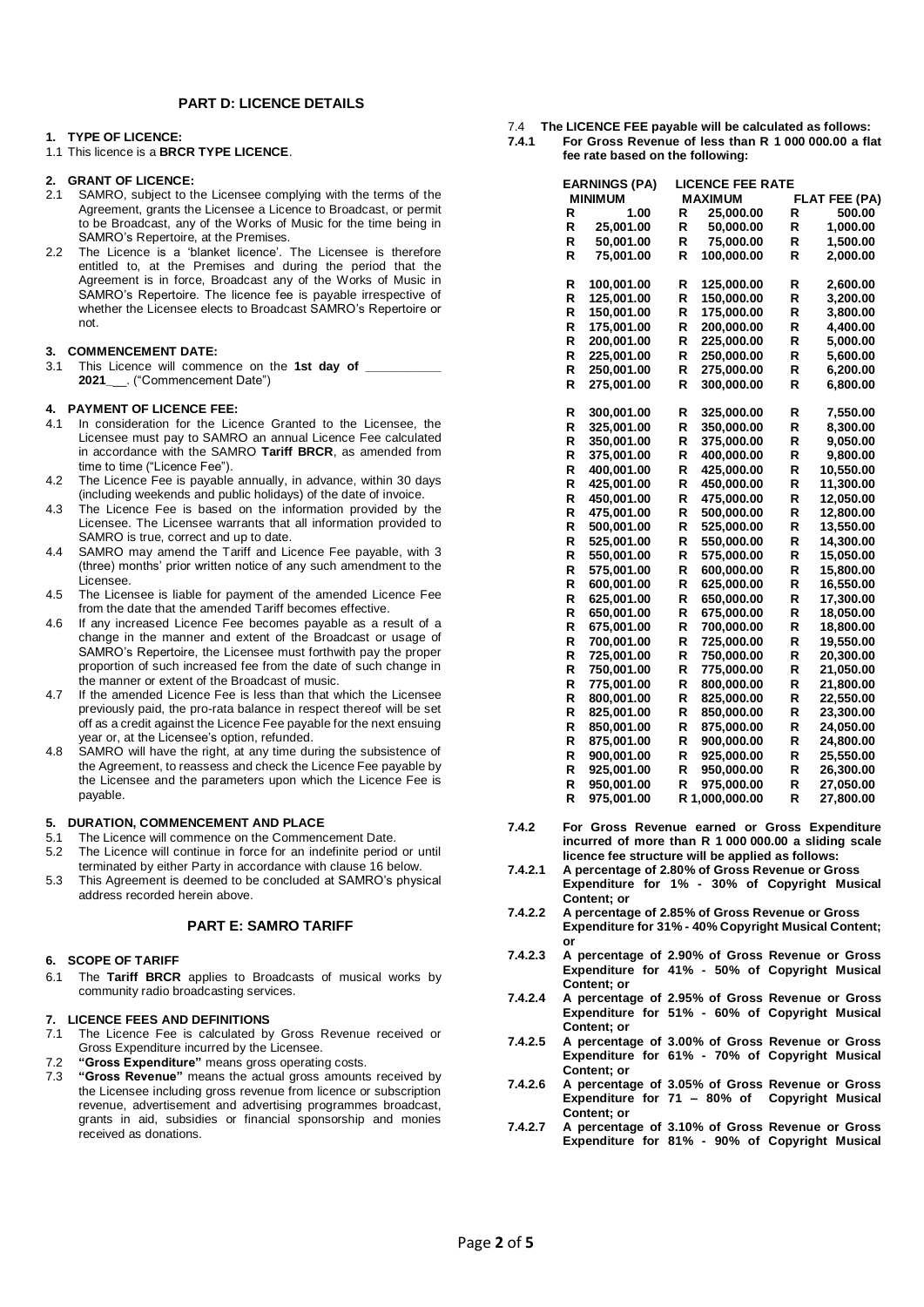## **PART D: LICENCE DETAILS**

## **1. TYPE OF LICENCE:**

1.1 This licence is a **BRCR TYPE LICENCE**.

## **2. GRANT OF LICENCE:**

- 2.1 SAMRO, subject to the Licensee complying with the terms of the Agreement, grants the Licensee a Licence to Broadcast, or permit to be Broadcast, any of the Works of Music for the time being in SAMRO's Repertoire, at the Premises.
- 2.2 The Licence is a 'blanket licence'. The Licensee is therefore entitled to, at the Premises and during the period that the Agreement is in force, Broadcast any of the Works of Music in SAMRO's Repertoire. The licence fee is payable irrespective of whether the Licensee elects to Broadcast SAMRO's Repertoire or not.

## **3. COMMENCEMENT DATE:**

3.1 This Licence will commence on the **1st day of \_\_\_\_\_\_\_\_\_\_\_ 2021\_**\_\_. ("Commencement Date")

## **4. PAYMENT OF LICENCE FEE:**

- 4.1 In consideration for the Licence Granted to the Licensee, the Licensee must pay to SAMRO an annual Licence Fee calculated in accordance with the SAMRO **Tariff BRCR**, as amended from time to time ("Licence Fee").
- 4.2 The Licence Fee is payable annually, in advance, within 30 days (including weekends and public holidays) of the date of invoice.
- 4.3 The Licence Fee is based on the information provided by the Licensee. The Licensee warrants that all information provided to SAMRO is true, correct and up to date.
- 4.4 SAMRO may amend the Tariff and Licence Fee payable, with 3 (three) months' prior written notice of any such amendment to the Licensee.
- 4.5 The Licensee is liable for payment of the amended Licence Fee from the date that the amended Tariff becomes effective.
- 4.6 If any increased Licence Fee becomes payable as a result of a change in the manner and extent of the Broadcast or usage of SAMRO's Repertoire, the Licensee must forthwith pay the proper proportion of such increased fee from the date of such change in the manner or extent of the Broadcast of music.
- 4.7 If the amended Licence Fee is less than that which the Licensee previously paid, the pro-rata balance in respect thereof will be set off as a credit against the Licence Fee payable for the next ensuing year or, at the Licensee's option, refunded.
- 4.8 SAMRO will have the right, at any time during the subsistence of the Agreement, to reassess and check the Licence Fee payable by the Licensee and the parameters upon which the Licence Fee is payable.

# **5. DURATION, COMMENCEMENT AND PLACE**<br>5.1 The Licence will commence on the Commence

- The Licence will commence on the Commencement Date.
- 5.2 The Licence will continue in force for an indefinite period or until terminated by either Party in accordance with clause 16 below.
- 5.3 This Agreement is deemed to be concluded at SAMRO's physical address recorded herein above.

## **PART E: SAMRO TARIFF**

### **6. SCOPE OF TARIFF**

6.1 The **Tariff BRCR** applies to Broadcasts of musical works by community radio broadcasting services.

### **7. LICENCE FEES AND DEFINITIONS**

- 7.1 The Licence Fee is calculated by Gross Revenue received or Gross Expenditure incurred by the Licensee.
- 7.2 **"Gross Expenditure"** means gross operating costs.
- 7.3 **"Gross Revenue"** means the actual gross amounts received by the Licensee including gross revenue from licence or subscription revenue, advertisement and advertising programmes broadcast, grants in aid, subsidies or financial sponsorship and monies received as donations.
- 7.4 **The LICENCE FEE payable will be calculated as follows:**
- **7.4.1 For Gross Revenue of less than R 1 000 000.00 a flat fee rate based on the following:**

|   | <b>EARNINGS (PA)</b>     |   | <b>LICENCE FEE RATE</b>  |   |                      |
|---|--------------------------|---|--------------------------|---|----------------------|
|   | <b>MINIMUM</b>           |   | <b>MAXIMUM</b>           |   | <b>FLAT FEE (PA)</b> |
| R | 1.00                     | R | 25,000.00                | R | 500.00               |
| R | 25,001.00                | R | 50,000.00                | R | 1,000.00             |
| R | 50,001.00                | R | 75,000.00                | R | 1,500.00             |
| R | 75,001.00                | R | 100,000.00               | R | 2,000.00             |
|   |                          |   |                          |   |                      |
| R | 100,001.00               | R | 125,000.00               | R | 2,600.00             |
| R | 125,001.00               | R | 150,000.00               | R | 3,200.00             |
| R | 150,001.00               | R | 175,000.00               | R | 3,800.00             |
| R | 175,001.00               | R | 200,000.00               | R | 4,400.00             |
| R | 200,001.00               | R | 225,000.00               | R | 5,000.00             |
| R | 225,001.00               | R | 250,000.00               | R | 5,600.00             |
| R | 250,001.00               | R | 275,000.00               | R | 6,200.00             |
| R | 275,001.00               | R | 300,000.00               | R | 6,800.00             |
| R | 300,001.00               | R | 325,000.00               | R | 7,550.00             |
| R |                          | R |                          | R |                      |
| R | 325,001.00<br>350,001.00 | R | 350,000.00<br>375,000.00 | R | 8,300.00<br>9,050.00 |
| R |                          | R |                          | R |                      |
| R | 375,001.00               | R | 400,000.00               | R | 9,800.00             |
| R | 400,001.00               | R | 425,000.00               | R | 10,550.00            |
| R | 425,001.00               | R | 450,000.00               | R | 11,300.00            |
| R | 450,001.00               | R | 475,000.00               | R | 12,050.00            |
|   | 475,001.00               |   | 500,000.00               |   | 12,800.00            |
| R | 500,001.00               | R | 525,000.00               | R | 13,550.00            |
| R | 525,001.00               | R | 550,000.00               | R | 14,300.00            |
| R | 550,001.00               | R | 575,000.00               | R | 15,050.00            |
| R | 575,001.00               | R | 600,000.00               | R | 15,800.00            |
| R | 600,001.00               | R | 625,000.00               | R | 16,550.00            |
| R | 625,001.00               | R | 650,000.00               | R | 17,300.00            |
| R | 650,001.00               | R | 675,000.00               | R | 18,050.00            |
| R | 675,001.00               | R | 700,000.00               | R | 18,800.00            |
| R | 700,001.00               | R | 725,000.00               | R | 19,550.00            |
| R | 725,001.00               | R | 750,000.00               | R | 20,300.00            |
| R | 750,001.00               | R | 775,000.00               | R | 21,050.00            |
| R | 775,001.00               | R | 800,000.00               | R | 21,800.00            |
| R | 800,001.00               | R | 825,000.00               | R | 22,550.00            |
| R | 825,001.00               | R | 850,000.00               | R | 23.300.00            |
| R | 850,001.00               | R | 875,000.00               | R | 24,050.00            |
| R | 875,001.00               | R | 900,000.00               | R | 24,800.00            |
| R | 900,001.00               | R | 925,000.00               | R | 25,550.00            |
| R | 925,001.00               | R | 950,000.00               | R | 26,300.00            |
| R | 950,001.00               | R | 975,000.00               | R | 27,050.00            |
| R | 975,001.00               |   | R 1,000,000.00           | R | 27,800.00            |

- **7.4.2 For Gross Revenue earned or Gross Expenditure incurred of more than R 1 000 000.00 a sliding scale licence fee structure will be applied as follows:**
- **7.4.2.1 A percentage of 2.80% of Gross Revenue or Gross Expenditure for 1% - 30% of Copyright Musical Content; or**
- **7.4.2.2 A percentage of 2.85% of Gross Revenue or Gross Expenditure for 31% - 40% Copyright Musical Content; or**
- **7.4.2.3 A percentage of 2.90% of Gross Revenue or Gross Expenditure for 41% - 50% of Copyright Musical Content; or**
- **7.4.2.4 A percentage of 2.95% of Gross Revenue or Gross Expenditure for 51% - 60% of Copyright Musical Content; or**
- **7.4.2.5 A percentage of 3.00% of Gross Revenue or Gross Expenditure for 61% - 70% of Copyright Musical Content; or**
- **7.4.2.6 A percentage of 3.05% of Gross Revenue or Gross Expenditure for 71 – 80% of Copyright Musical Content; or**
- **7.4.2.7 A percentage of 3.10% of Gross Revenue or Gross Expenditure for 81% - 90% of Copyright Musical**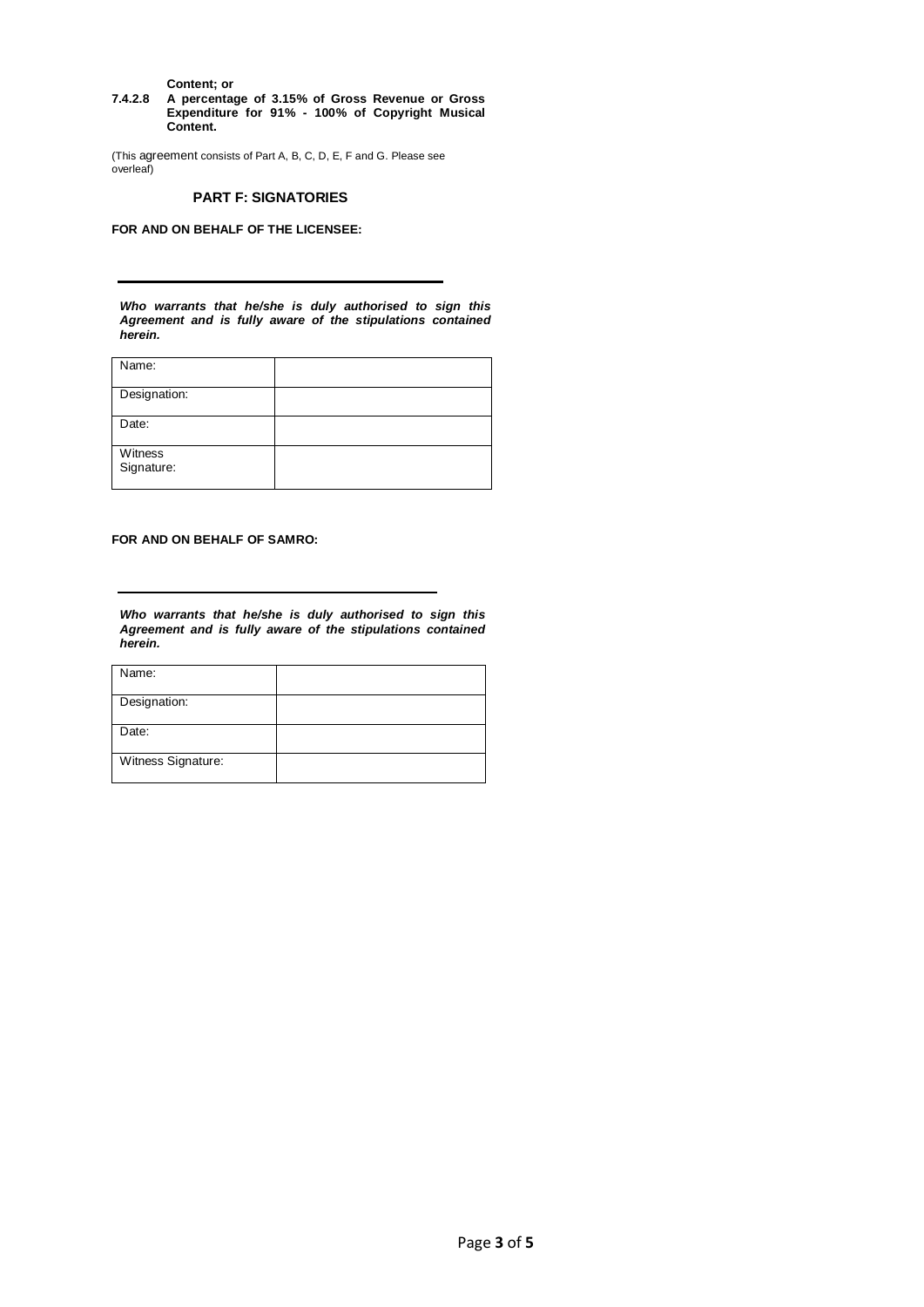**Content; or**

**7.4.2.8 A percentage of 3.15% of Gross Revenue or Gross Expenditure for 91% - 100% of Copyright Musical Content.**

(This agreement consists of Part A, B, C, D, E, F and G. Please see overleaf)

## **PART F: SIGNATORIES**

**FOR AND ON BEHALF OF THE LICENSEE:** 

*Who warrants that he/she is duly authorised to sign this Agreement and is fully aware of the stipulations contained herein.*

| Name:                 |  |
|-----------------------|--|
| Designation:          |  |
| Date:                 |  |
| Witness<br>Signature: |  |

**FOR AND ON BEHALF OF SAMRO:** 

*Who warrants that he/she is duly authorised to sign this Agreement and is fully aware of the stipulations contained herein.*

| Name:              |  |
|--------------------|--|
| Designation:       |  |
| Date:              |  |
| Witness Signature: |  |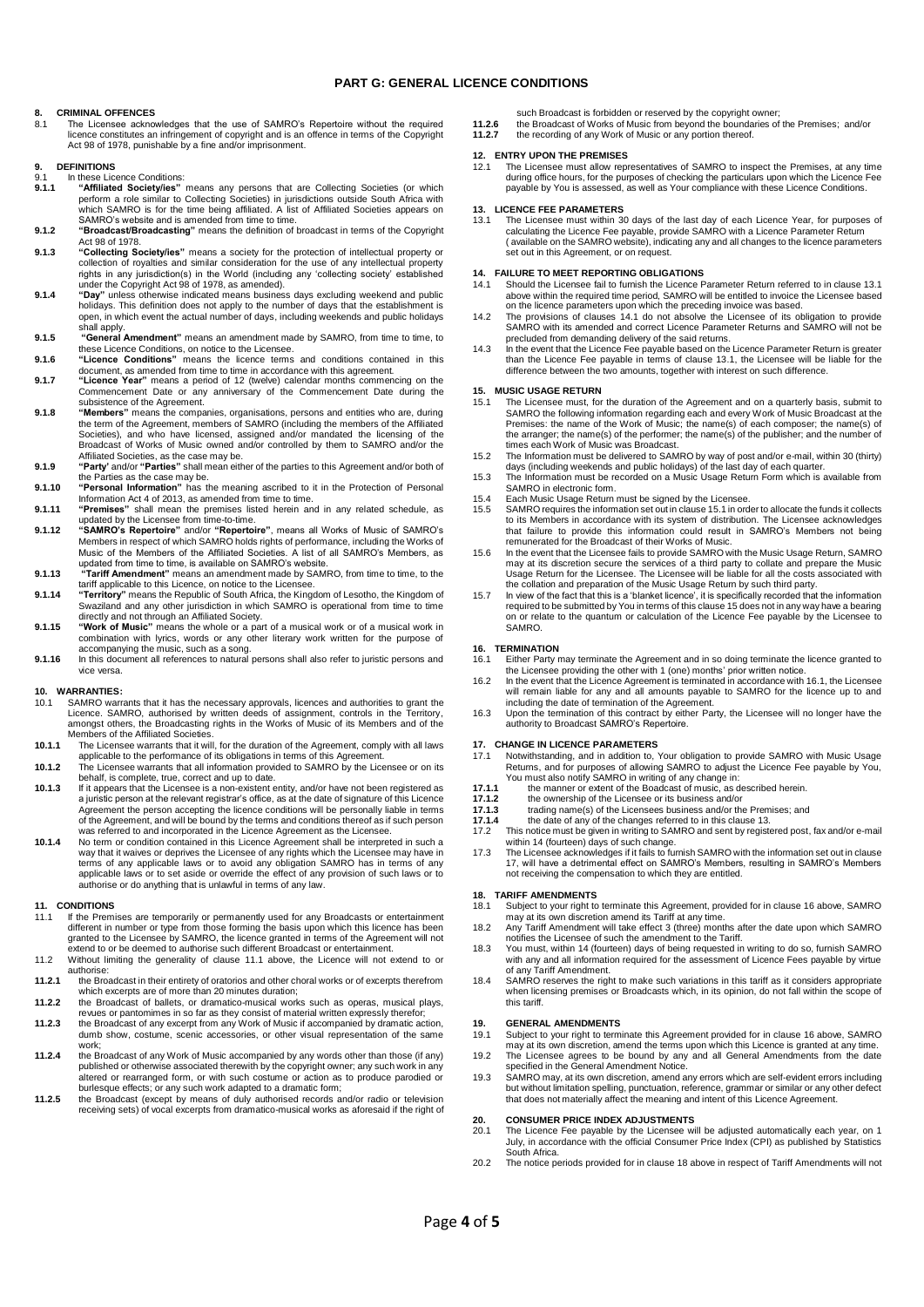### **PART G: GENERAL LICENCE CONDITIONS**

# **8. CRIMINAL OFFENCES**

8.1 The Licensee acknowledges that the use of SAMRO's Repertoire without the required licence constitutes an infringement of copyright and is an offence in terms of the Copyright Act 98 of 1978, punishable by a fine and/or imprisonment.

# **9. DEFINITIONS**

- 9.1 In these Licence Conditions:<br>9.1.1 "Affiliated Societylies"
- **9.1.1 "Affiliated Society/ies"** means any persons that are Collecting Societies (or which perform a role similar to Collecting Societies) in jurisdictions outside South Africa with which SAMRO is for the time being affiliated. A list of Affiliated Societies appears on SAMRO's website and is amended from time to time.
- **9.1.2 "Broadcast/Broadcasting"** means the definition of broadcast in terms of the Copyright Act 98 of 1978.
- **9.1.3 "Collecting Society/ies"** means a society for the protection of intellectual property or collection of royalties and similar consideration for the use of any intellectual property rights in any jurisdiction(s) in the World (including any 'collecting society' established
- under the Copyright Act 98 of 1978, as amended).<br> **9.1.4** "Day" unless otherwise indicated means business days excluding weekend and public<br>
holidays. This definition does not apply to the number of days that the establish
- **9.1.5 "General Amendment"** means an amendment made by SAMRO, from time to time, to these Licence Conditions, on notice to the Licensee.
- **9.1.6 "Licence Conditions"** means the licence terms and conditions contained in this document, as amended from time to time in accordance with this agreement.
- **9.1.7 "Licence Year"** means a period of 12 (twelve) calendar months commencing on the Commencement Date or any anniversary of the Commencement Date during the subsistence of the Agreement.
- **9.1.8 "Members"** means the companies, organisations, persons and entities who are, during the term of the Agreement, members of SAMRO (including the members of the Affiliated Societies), and who have licensed, assigned and/or mandated the licensing of the Broadcast of Works of Music owned and/or controlled by them to SAMRO and/or the
- Affiliated Societies, as the case may be. **9.1.9 "Party'** and/or **"Parties"** shall mean either of the parties to this Agreement and/or both of the Parties as the case may be. **9.1.10 "Personal Information"** has the meaning ascribed to it in the Protection of Personal
- Information Act 4 of 2013, as amended from time to time. **9.1.11 "Premises"** shall mean the premises listed herein and in any related schedule, as
- 
- updated by the Licensee from time-to-time.<br>"S**AMRO's Repertoire**" and/or "R**epertoire**", means all Works of Music of SAMRO's &<br>Members in respect of which SAMRO holds rights of performance, including the Works of Music of the Members of the Affiliated Societies. A list of all SAMRO's Members, as<br>updated from time to time, is available on SAMRO's website.<br>9.1.13 "Tariff Amendment" means an amendment made by SAMRO, from time to time,
- 
- **9.1.14 "Territory"** means the Republic of South Africa, the Kingdom of Lesotho, the Kingdom of Swaziland and any other jurisdiction in which SAMRO is operational from time to time directly and not through an Affiliated Society. **9.1.15 "Work of Music"** means the whole or a part of a musical work or of a musical work in
- combination with lyrics, words or any other literary work written for the purpose of accompanying the music, such as a song.
- **9.1.16** In this document all references to natural persons shall also refer to juristic persons and vice versa.

# **10. WARRANTIES:**

- 10.1 SAMRO warrants that it has the necessary approvals, licences and authorities to grant the Licence. SAMRO, authorised by written deeds of assignment, controls in the Territory, amongst others, the Broadcasting rights in the Works of Music of its Members and of the Members of the Affiliated Societies.
- **10.1.1** The Licensee warrants that it will, for the duration of the Agreement, comply with all laws applicable to the performance of its obligations in terms of this Agreement. **10.1.2** The Licensee warrants that all information provided to SAMRO by the Licensee or on its
- behalf, is complete, true, correct and up to date.<br>**10.1.3** If it appears that the Licensee is a non-existent entity, and/or have not been registered as
- a juristic person at the relevant registrar's office, as at the date of signature of this Licence Agreement the person accepting the licence conditions will be personally liable in terms of the Agreement, and will be bound by the terms and conditions thereof as if such person<br>was referred to and incorporated in the Licence Agreement as the Licensee.<br>10.1.4 No term or condition contained in this Licence Agr
- way that it waives or deprives the Licensee of any rights which the Licensee may have in terms of any applicable laws or to avoid any obligation SAMRO has in terms of any applicable laws or to set aside or override the effect of any provision of such laws or to authorise or do anything that is unlawful in terms of any law.

#### **11. CONDITIONS**

- 11.1 If the Premises are temporarily or permanently used for any Broadcasts or entertainment<br>different in number or type from those forming the basis upon which this licence has been<br>granted to the Licensee by SAMRO, the l
- authorise: **11.2.1** the Broadcast in their entirety of oratorios and other choral works or of excerpts therefrom
- which excerpts are of more than 20 minutes duration;<br>**11.2.2** the Broadcast of ballets, or dramatico-musical works such as operas, musical plays,
- revues or pantomimes in so far as they consist of material written expressly therefor; **11.2.3** the Broadcast of any excerpt from any Work of Music if accompanied by dramatic action,
- dumb show, costume, scenic accessories, or other visual representation of the same work;
- **11.2.4** the Broadcast of any Work of Music accompanied by any words other than those (if any) published or otherwise associated therewith by the copyright owner; any such work in any published or otherwise associated therewith by the copyright owner; any such work in any altered or rearranged form, or with such costume or action as to produce parodied or
- burlesque effects; or any such work adapted to a dramatic form;<br>**11.2.5** the Broadcast (except by means of duly authorised records and/or radio or television receiving sets) of vocal excerpts from dramatico-musical works as aforesaid if the right of

such Broadcast is forbidden or reserved by the copyright owner;

**11.2.6** the Broadcast of Works of Music from beyond the boundaries of the Premises; and/or **11.2.7** the recording of any Work of Music or any portion thereof.

## **12. ENTRY UPON THE PREMISES**

11.1 The Licensee must allow representatives of SAMRO to inspect the Premises, at any time during office hours, for the purposes of checking the particulars upon which the Licence Fee payable by You is assessed, as well as Your compliance with these Licence Conditions.

## **13. LICENCE FEE PARAMETERS**

13.1 The Licensee must within 30 days of the last day of each Licence Year, for purposes of calculating the Licence Fee payable, provide SAMRO with a Licence Parameter Return ( available on the SAMRO website), indicating any and all changes to the licence parameters set out in this Agreement, or on reques

### **14. FAILURE TO MEET REPORTING OBLIGATIONS**

- 14.1 Should the Licensee fail to furnish the Licence Parameter Return referred to in clause 13.1 above within the required time period, SAMRO will be entitled to invoice the Licensee based on the licence parameters upon which the preceding invoice was based.
- 14.2 The provisions of clauses 14.1 do not absolve the Licensee of its obligation to provide SAMRO with its amended and correct Licence Parameter Returns and SAMRO will not be
- precluded from demanding delivery of the said returns. 14.3 In the event that the Licence Fee payable based on the Licence Parameter Return is greater than the Licence Fee payable in terms of clause 13.1, the Licensee will be liable for the difference between the two amounts, together with interest on such difference.

#### **15. MUSIC USAGE RETURN**

- 15.1 The Licensee must, for the duration of the Agreement and on a quarterly basis, submit to SAMRO the following information regarding each and every Work of Music Broadcast at the Premises: the name of the Work of Music; the name(s) of each composer; the name(s) of the arranger; the name(s) of the performer; the name(s) of the publisher; and the number of times each Work of Music was Broadcast.
- 15.2 The Information must be delivered to SAMRO by way of post and/or e-mail, within 30 (thirty) days (including weekends and public holidays) of the last day of each quarter.
- 15.3 The Information must be recorded on a Music Usage Return Form which is available from SAMRO in electronic form.
- 
- 15.4 Each Music Usage Return must be signed by the Licensee. 15.5 SAMRO requires the information set out in clause 15.1 in order to allocate the funds it collects to its Members in accordance with its system of distribution. The Licensee acknowledges<br>that failure to provide this information could result in SAMRO's Members not being<br>remunerated for the Broadcast of their Works of Mus
- 15.6 In the event that the Licensee fails to provide SAMRO with the Music Usage Return, SAMRO may at its discretion secure the services of a third party to collate and prepare the Music Usage Return for the Licensee. The Licensee will be liable for all the costs associated with the collation and preparation of the Music Usage Return by such third party.
- 15.7 In view of the fact that this is a 'blanket licence', it is specifically recorded that the information required to be submitted by You in terms of this clause 15 does not in any way have a bearing on or relate to the quantum or calculation of the Licence Fee payable by the Licensee to SAMRO.

#### **16. TERMINATION**

- 16.1 Either Party may terminate the Agreement and in so doing terminate the licence granted to<br>the Licensee providing the other with 1 (one) months' prior written notice.<br>In the event that the Licence Agreement is terminat
- will remain liable for any and all amounts payable to SAMRO for the licence up to and including the date of termination of the Agreement.
- 16.3 Upon the termination of this contract by either Party, the Licensee will no longer have the authority to Broadcast SAMRO's Repertoire.

### **17. CHANGE IN LICENCE PARAMETERS**

- 17.1 Notwithstanding, and in addition to, Your obligation to provide SAMRO with Music Usage<br>Returns, and for purposes of allowing SAMRO to adjust the Licence Fee payable by You,<br>You must also notify SAMRO in writing of any
- **17.1.1** the manner or extent of the Boadcast of music, as de<br> **17.1.2** the ownership of the Licensee or its business and/or<br> **17.1.3** trading name(s) of the Licensees business and/or the
- 
- 17.1.3 trading name(s) of the Licensees business and/or the Premises; and<br>17.1.4 the date of any of the changes referred to in this clause 13.
- **17.1.4** the date of any of the changes referred to in this clause 13.<br>17.2 This notice must be given in writing to SAMRO and sent by registed
- 17.2 This notice must be given in writing to SAMRO and sent by registered post, fax and/or e-mail within 14 (fourteen) days of such change.
- 17.3 The Licensee acknowledges if it fails to furnish SAMRO with the information set out in clause 17, will have a detrimental effect on SAMRO's Members, resulting in SAMRO's Members not receiving the compensation to which they are entitled.

# **18. TARIFF AMENDMENTS**

- 18.1 Subject to your right to terminate this Agreement, provided for in clause 16 above, SAMRO may at its own discretion amend its Tariff at any time. 18.2 Any Tariff Amendment will take effect 3 (three) months after the date upon which SAMRO
- notifies the Licensee of such the amendment to the Tariff.
- 18.3 You must, within 14 (fourteen) days of being requested in writing to do so, furnish SAMRO with any and all information required for the assessment of Licence Fees payable by virtue
- of any Tariff Amendment. 18.4 SAMRO reserves the right to make such variations in this tariff as it considers appropriate when licensing premises or Broadcasts which, in its opinion, do not fall within the scope of this tariff.

#### **19. GENERAL AMENDMENTS**

19.1 Subject to your right to terminate this Agreement provided for in clause 16 above, SAMRO may at its own discretion, amend the terms upon which this Licence is granted at any time.

### 19.2 The Licensee agrees to be bound by any and all General Amendments from the date

specified in the General Amendment Notice. 19.3 SAMRO may, at its own discretion, amend any errors which are self-evident errors including but without limitation spelling, punctuation, reference, grammar or similar or any other defect that does not materially affect the meaning and intent of this Licence Agreement.

# **20. CONSUMER PRICE INDEX ADJUSTMENTS**

- 20.1 The Licence Fee payable by the Licensee will be adjusted automatically each year, on 1 July, in accordance with the official Consumer Price Index (CPI) as published by Statistics South Africa.
- 20.2 The notice periods provided for in clause 18 above in respect of Tariff Amendments will not